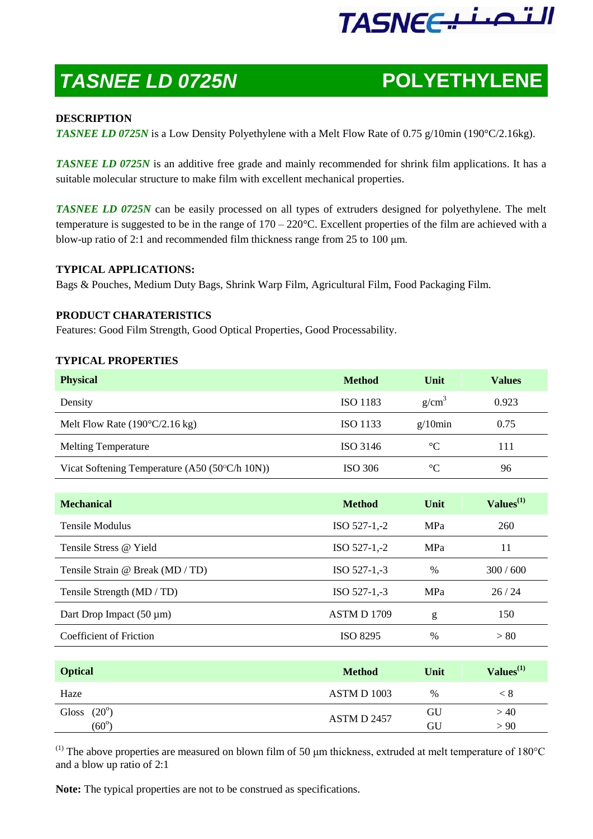# التصنيعTASNE

## *TASNEE LD 0725N* **POLYETHYLENE**

### **DESCRIPTION**

*TASNEE LD 0725N* is a Low Density Polyethylene with a Melt Flow Rate of 0.75 g/10min (190°C/2.16kg).

*TASNEE LD 0725N* is an additive free grade and mainly recommended for shrink film applications. It has a suitable molecular structure to make film with excellent mechanical properties.

*TASNEE LD 0725N* can be easily processed on all types of extruders designed for polyethylene. The melt temperature is suggested to be in the range of  $170 - 220$ °C. Excellent properties of the film are achieved with a blow-up ratio of 2:1 and recommended film thickness range from 25 to 100 μm.

#### **TYPICAL APPLICATIONS:**

Bags & Pouches, Medium Duty Bags, Shrink Warp Film, Agricultural Film, Food Packaging Film.

#### **PRODUCT CHARATERISTICS**

Features: Good Film Strength, Good Optical Properties, Good Processability.

#### **TYPICAL PROPERTIES**

| <b>Physical</b>                                         | <b>Method</b>   | Unit              | <b>Values</b> |
|---------------------------------------------------------|-----------------|-------------------|---------------|
| Density                                                 | <b>ISO 1183</b> | g/cm <sup>3</sup> | 0.923         |
| Melt Flow Rate $(190^{\circ}C/2.16 \text{ kg})$         | <b>ISO 1133</b> | $g/10$ min        | 0.75          |
| <b>Melting Temperature</b>                              | ISO 3146        | $\rm ^{\circ}C$   | 111           |
| Vicat Softening Temperature $(A50 (50^{\circ}C/h 10N))$ | ISO 306         | $\rm ^{\circ}C$   | 96            |

| <b>Mechanical</b>                | <b>Method</b>   | Unit | $Values^{(1)}$ |
|----------------------------------|-----------------|------|----------------|
| Tensile Modulus                  | $ISO 527-1,-2$  | MPa  | 260            |
| Tensile Stress @ Yield           | $ISO 527-1,-2$  | MPa  | 11             |
| Tensile Strain @ Break (MD / TD) | ISO 527-1,-3    | $\%$ | 300/600        |
| Tensile Strength (MD / TD)       | ISO 527-1,-3    | MPa  | 26/24          |
| Dart Drop Impact $(50 \mu m)$    | ASTM D 1709     | g    | 150            |
| Coefficient of Friction          | <b>ISO 8295</b> | $\%$ | > 80           |

| <b>Optical</b>          | <b>Method</b> | Unit | Values <sup>(1)</sup> |
|-------------------------|---------------|------|-----------------------|
| Haze                    | ASTM D 1003   | $\%$ |                       |
| $(20^{\circ})$<br>Gloss | ASTM D 2457   | GU   | >40                   |
| $(60^\circ$             |               | GU   | > 90                  |

(1) The above properties are measured on blown film of 50  $\mu$ m thickness, extruded at melt temperature of 180 $^{\circ}$ C and a blow up ratio of 2:1

**Note:** The typical properties are not to be construed as specifications.